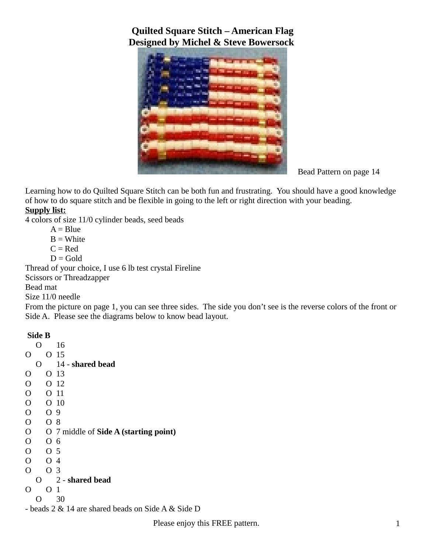

Bead Pattern on page 14

Learning how to do Quilted Square Stitch can be both fun and frustrating. You should have a good knowledge of how to do square stitch and be flexible in going to the left or right direction with your beading.

#### **Supply list:**

4 colors of size 11/0 cylinder beads, seed beads

 $A = Blue$ 

 $B = White$ 

 $C = Red$ 

 $D = Gold$ 

Thread of your choice, I use 6 lb test crystal Fireline

Scissors or Threadzapper

Bead mat

Size 11/0 needle

From the picture on page 1, you can see three sides. The side you don't see is the reverse colors of the front or Side A. Please see the diagrams below to know bead layout.

#### **Side B**

|                | ∩ |                | 16                                                 |
|----------------|---|----------------|----------------------------------------------------|
| O              |   | O.             | 15                                                 |
|                | O |                | 14 - shared bead                                   |
| O              |   | O.             | 13                                                 |
| $\overline{O}$ |   |                | O 12                                               |
| $\overline{O}$ |   | O.             | 11                                                 |
| $\mathcal{O}$  |   |                | O <sub>10</sub>                                    |
| $\overline{O}$ |   | O 9            |                                                    |
| $\mathcal{O}$  |   | O 8            |                                                    |
| $\mathcal{O}$  |   |                | O 7 middle of Side A (starting point)              |
| $\overline{O}$ |   | O 6            |                                                    |
| $\mathcal{O}$  |   | O 5            |                                                    |
| $\overline{O}$ |   | O 4            |                                                    |
| $\overline{O}$ |   | O <sub>3</sub> |                                                    |
|                | O |                | 2 - shared bead                                    |
| O              |   | O              | 1                                                  |
|                | O |                | 30                                                 |
|                |   |                | - beads 2 & 14 are shared beads on Side A & Side D |

Please enjoy this FREE pattern. 1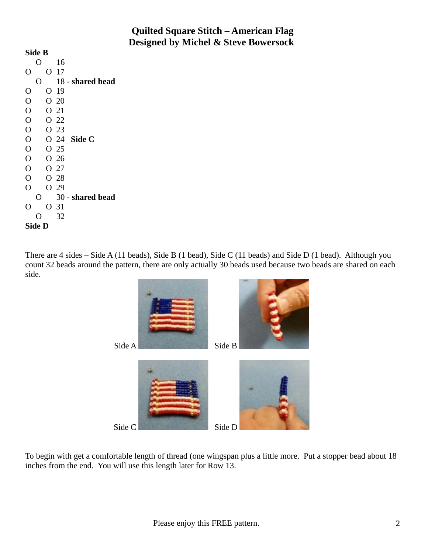| Side B         |   |   |                 |                  |  |  |  |  |  |
|----------------|---|---|-----------------|------------------|--|--|--|--|--|
|                | O |   | 16              |                  |  |  |  |  |  |
| ( )            |   | O | 17              |                  |  |  |  |  |  |
|                | Ο |   |                 | 18 - shared bead |  |  |  |  |  |
| O              |   | O | 19              |                  |  |  |  |  |  |
| O              |   |   | O <sub>20</sub> |                  |  |  |  |  |  |
| $\overline{O}$ |   |   | O 21            |                  |  |  |  |  |  |
| $\overline{O}$ |   |   | O 22            |                  |  |  |  |  |  |
| $\overline{O}$ |   |   | O 23            |                  |  |  |  |  |  |
| $\overline{O}$ |   |   |                 | O 24 Side C      |  |  |  |  |  |
| $\overline{O}$ |   |   | O <sub>25</sub> |                  |  |  |  |  |  |
| $\overline{O}$ |   |   | O <sub>26</sub> |                  |  |  |  |  |  |
| $\overline{O}$ |   |   | O 27            |                  |  |  |  |  |  |
| $\overline{O}$ |   |   | O 28            |                  |  |  |  |  |  |
| Ô              |   |   | O 29            |                  |  |  |  |  |  |
|                | O |   |                 | 30 - shared bead |  |  |  |  |  |
| O              |   |   | O 31            |                  |  |  |  |  |  |
|                | ∩ |   | 32              |                  |  |  |  |  |  |
| Side D         |   |   |                 |                  |  |  |  |  |  |

There are 4 sides – Side A (11 beads), Side B (1 bead), Side C (11 beads) and Side D (1 bead). Although you count 32 beads around the pattern, there are only actually 30 beads used because two beads are shared on each side.



To begin with get a comfortable length of thread (one wingspan plus a little more. Put a stopper bead about 18 inches from the end. You will use this length later for Row 13.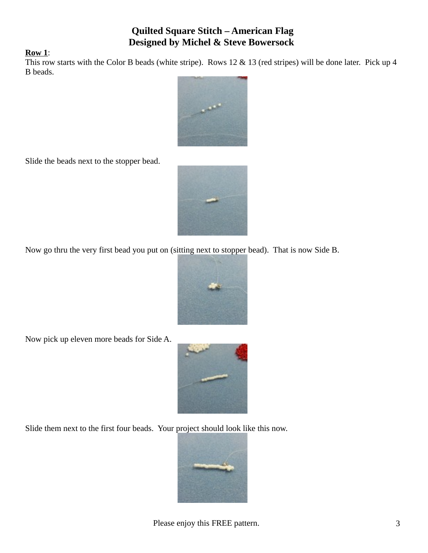#### **Row 1**:

This row starts with the Color B beads (white stripe). Rows 12 & 13 (red stripes) will be done later. Pick up 4 B beads.



Slide the beads next to the stopper bead.



Now go thru the very first bead you put on (sitting next to stopper bead). That is now Side B.



Now pick up eleven more beads for Side A.



Slide them next to the first four beads. Your project should look like this now.

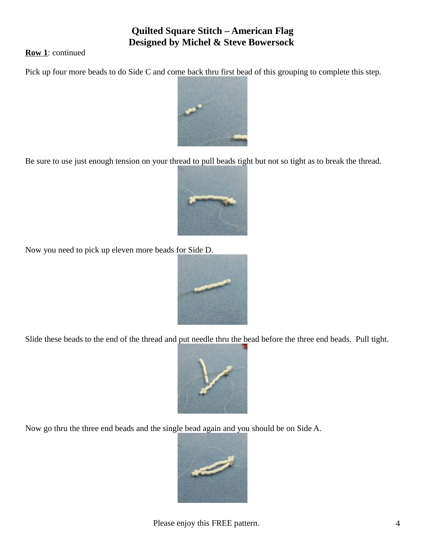**Row 1**: continued

Pick up four more beads to do Side C and come back thru first bead of this grouping to complete this step.



Be sure to use just enough tension on your thread to pull beads tight but not so tight as to break the thread.



Now you need to pick up eleven more beads for Side D.



Slide these beads to the end of the thread and put needle thru the bead before the three end beads. Pull tight.



Now go thru the three end beads and the single bead again and you should be on Side A.

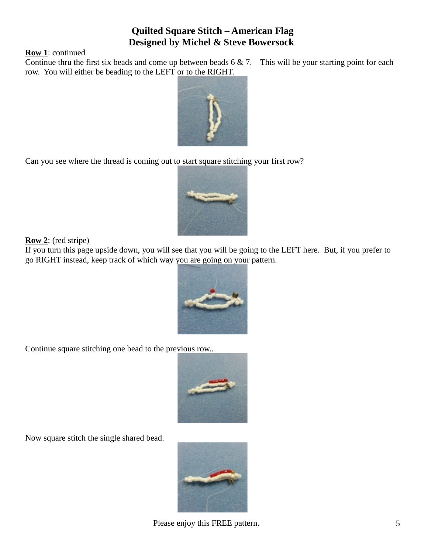**Row 1**: continued

Continue thru the first six beads and come up between beads 6 & 7. This will be your starting point for each row. You will either be beading to the LEFT or to the RIGHT.



Can you see where the thread is coming out to start square stitching your first row?



**Row 2**: (red stripe)

If you turn this page upside down, you will see that you will be going to the LEFT here. But, if you prefer to go RIGHT instead, keep track of which way you are going on your pattern.



Continue square stitching one bead to the previous row..



Now square stitch the single shared bead.



Please enjoy this FREE pattern. 5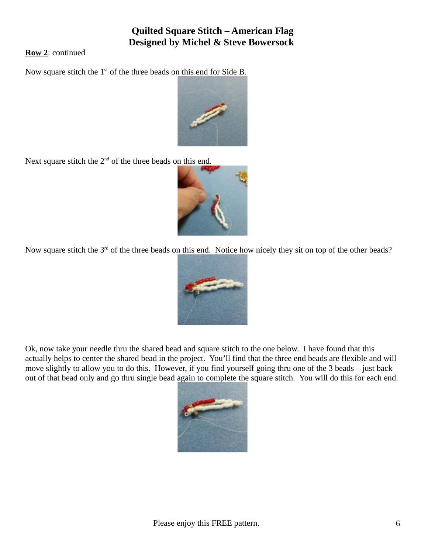**Row 2**: continued

Now square stitch the 1<sup>st</sup> of the three beads on this end for Side B.



Next square stitch the  $2<sup>nd</sup>$  of the three beads on this end.



Now square stitch the 3<sup>rd</sup> of the three beads on this end. Notice how nicely they sit on top of the other beads?



Ok, now take your needle thru the shared bead and square stitch to the one below. I have found that this actually helps to center the shared bead in the project. You'll find that the three end beads are flexible and will move slightly to allow you to do this. However, if you find yourself going thru one of the 3 beads – just back out of that bead only and go thru single bead again to complete the square stitch. You will do this for each end.

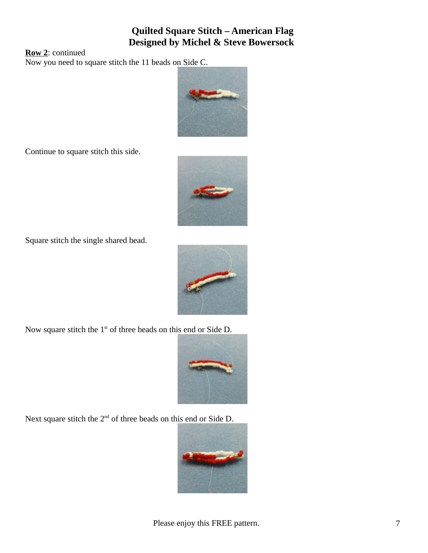**Row 2**: continued

Now you need to square stitch the 11 beads on Side C.



Continue to square stitch this side.



Square stitch the single shared bead.



Now square stitch the  $1<sup>st</sup>$  of three beads on this end or Side D.



Next square stitch the 2<sup>nd</sup> of three beads on this end or Side D.

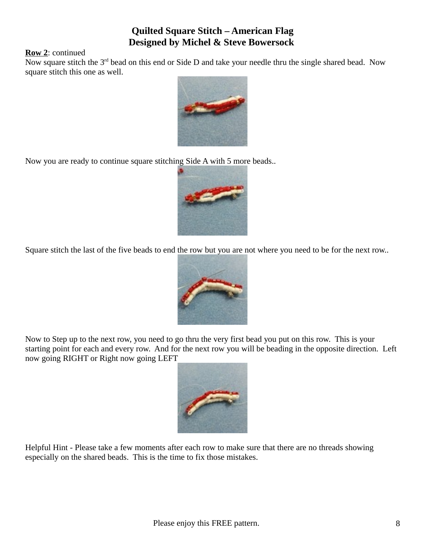#### **Row 2**: continued

Now square stitch the 3<sup>rd</sup> bead on this end or Side D and take your needle thru the single shared bead. Now square stitch this one as well.



Now you are ready to continue square stitching Side A with 5 more beads..



Square stitch the last of the five beads to end the row but you are not where you need to be for the next row..



Now to Step up to the next row, you need to go thru the very first bead you put on this row. This is your starting point for each and every row. And for the next row you will be beading in the opposite direction. Left now going RIGHT or Right now going LEFT



Helpful Hint - Please take a few moments after each row to make sure that there are no threads showing especially on the shared beads. This is the time to fix those mistakes.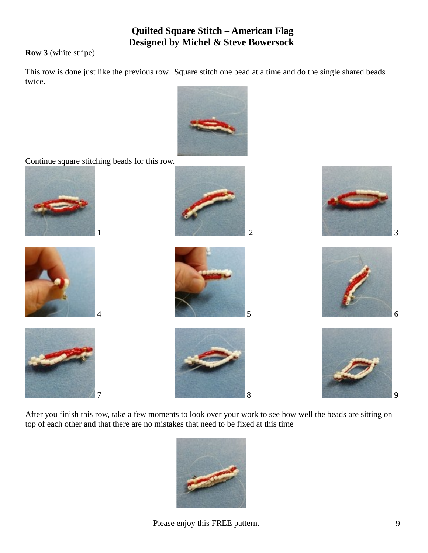**Row 3** (white stripe)

This row is done just like the previous row. Square stitch one bead at a time and do the single shared beads twice.



Continue square stitching beads for this row.



















After you finish this row, take a few moments to look over your work to see how well the beads are sitting on top of each other and that there are no mistakes that need to be fixed at this time



Please enjoy this FREE pattern. 9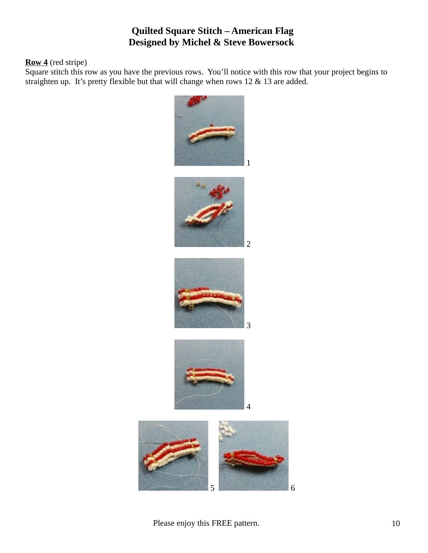#### **Row 4** (red stripe)

Square stitch this row as you have the previous rows. You'll notice with this row that your project begins to straighten up. It's pretty flexible but that will change when rows 12 & 13 are added.

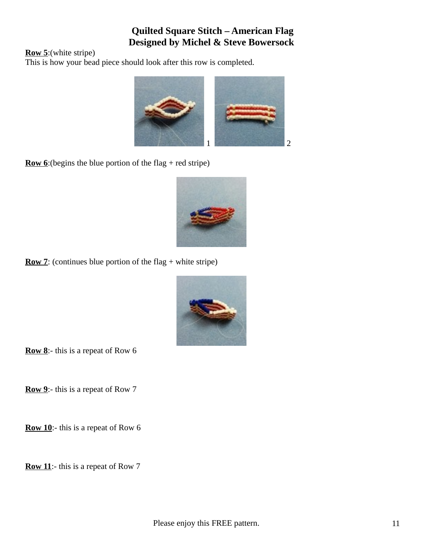**Row 5**:(white stripe)

This is how your bead piece should look after this row is completed.



**Row 6**: (begins the blue portion of the flag + red stripe)



**Row 7**: (continues blue portion of the flag + white stripe)



**Row 8**:- this is a repeat of Row 6

**Row 9**:- this is a repeat of Row 7

**Row 10**:- this is a repeat of Row 6

**Row 11**:- this is a repeat of Row 7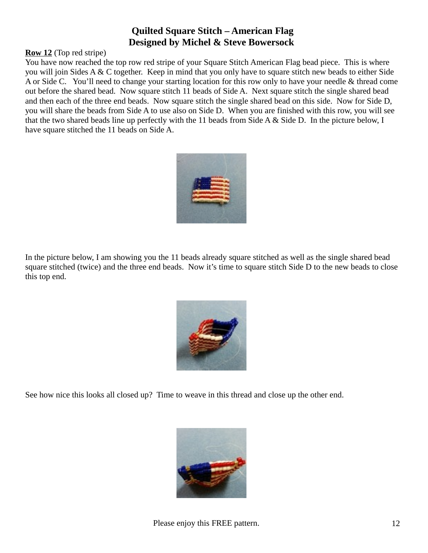#### **Row 12** (Top red stripe)

You have now reached the top row red stripe of your Square Stitch American Flag bead piece. This is where you will join Sides A & C together. Keep in mind that you only have to square stitch new beads to either Side A or Side C. You'll need to change your starting location for this row only to have your needle & thread come out before the shared bead. Now square stitch 11 beads of Side A. Next square stitch the single shared bead and then each of the three end beads. Now square stitch the single shared bead on this side. Now for Side D, you will share the beads from Side A to use also on Side D. When you are finished with this row, you will see that the two shared beads line up perfectly with the 11 beads from Side A & Side D. In the picture below, I have square stitched the 11 beads on Side A.



In the picture below, I am showing you the 11 beads already square stitched as well as the single shared bead square stitched (twice) and the three end beads. Now it's time to square stitch Side D to the new beads to close this top end.



See how nice this looks all closed up? Time to weave in this thread and close up the other end.

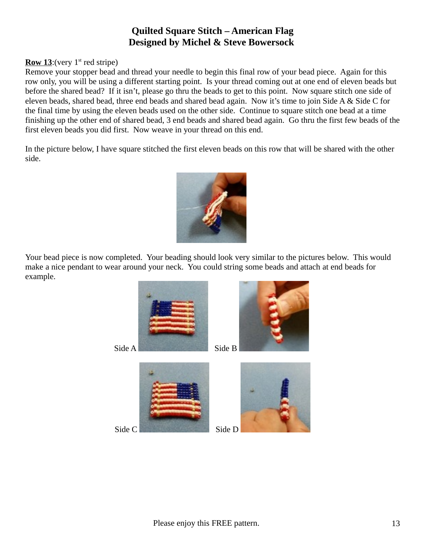#### **Row 13:** (very  $1^{st}$  red stripe)

Remove your stopper bead and thread your needle to begin this final row of your bead piece. Again for this row only, you will be using a different starting point. Is your thread coming out at one end of eleven beads but before the shared bead? If it isn't, please go thru the beads to get to this point. Now square stitch one side of eleven beads, shared bead, three end beads and shared bead again. Now it's time to join Side A & Side C for the final time by using the eleven beads used on the other side. Continue to square stitch one bead at a time finishing up the other end of shared bead, 3 end beads and shared bead again. Go thru the first few beads of the first eleven beads you did first. Now weave in your thread on this end.

In the picture below, I have square stitched the first eleven beads on this row that will be shared with the other side.



Your bead piece is now completed. Your beading should look very similar to the pictures below. This would make a nice pendant to wear around your neck. You could string some beads and attach at end beads for example.







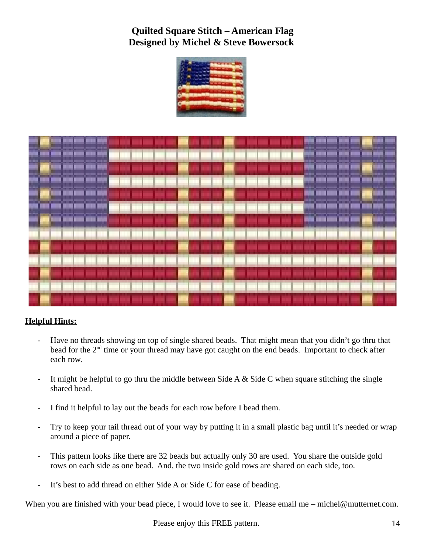



#### **Helpful Hints:**

- Have no threads showing on top of single shared beads. That might mean that you didn't go thru that bead for the 2<sup>nd</sup> time or your thread may have got caught on the end beads. Important to check after each row.
- It might be helpful to go thru the middle between Side A & Side C when square stitching the single shared bead.
- I find it helpful to lay out the beads for each row before I bead them.
- Try to keep your tail thread out of your way by putting it in a small plastic bag until it's needed or wrap around a piece of paper.
- This pattern looks like there are 32 beads but actually only 30 are used. You share the outside gold rows on each side as one bead. And, the two inside gold rows are shared on each side, too.
- It's best to add thread on either Side A or Side C for ease of beading.

When you are finished with your bead piece, I would love to see it. Please email me – michel@mutternet.com.